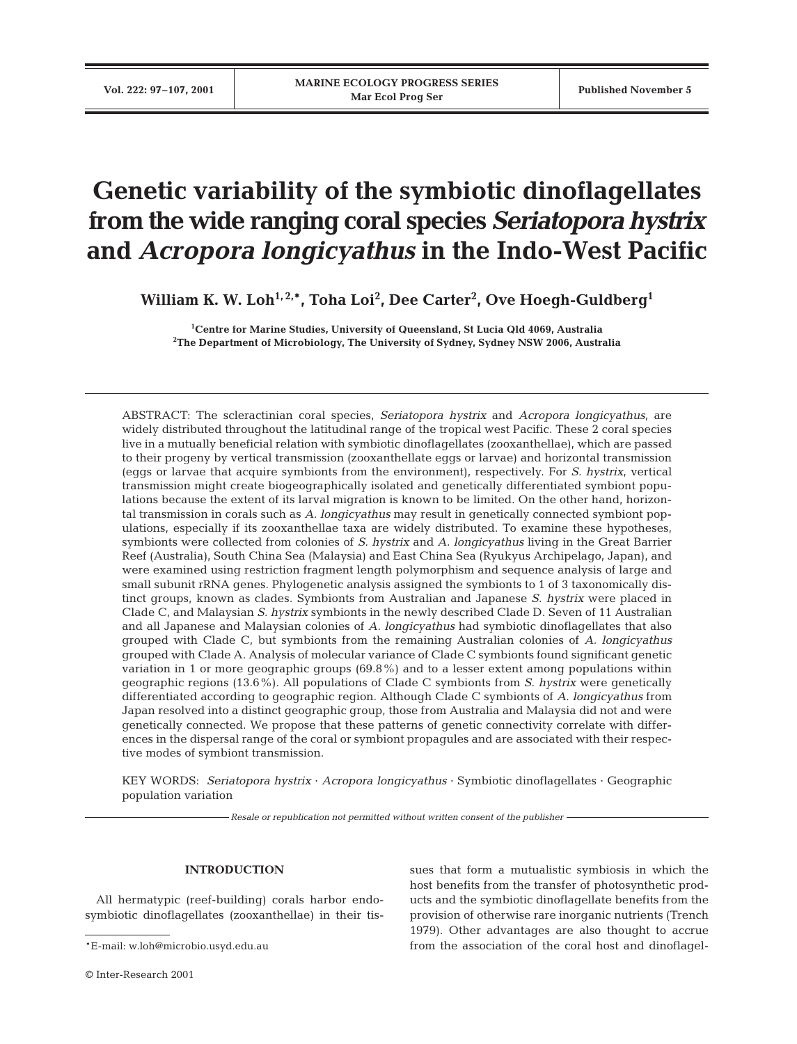# **Genetic variability of the symbiotic dinoflagellates from the wide ranging coral species** *Seriatopora hystrix* **and** *Acropora longicyathus* **in the Indo-West Pacific**

**William K. W. Loh1, 2,\*, Toha Loi2 , Dee Carter2 , Ove Hoegh-Guldberg1**

**1 Centre for Marine Studies, University of Queensland, St Lucia Qld 4069, Australia 2 The Department of Microbiology, The University of Sydney, Sydney NSW 2006, Australia**

ABSTRACT: The scleractinian coral species, *Seriatopora hystrix* and *Acropora longicyathus*, are widely distributed throughout the latitudinal range of the tropical west Pacific. These 2 coral species live in a mutually beneficial relation with symbiotic dinoflagellates (zooxanthellae), which are passed to their progeny by vertical transmission (zooxanthellate eggs or larvae) and horizontal transmission (eggs or larvae that acquire symbionts from the environment), respectively. For *S. hystrix*, vertical transmission might create biogeographically isolated and genetically differentiated symbiont populations because the extent of its larval migration is known to be limited. On the other hand, horizontal transmission in corals such as *A. longicyathus* may result in genetically connected symbiont populations, especially if its zooxanthellae taxa are widely distributed. To examine these hypotheses, symbionts were collected from colonies of *S. hystrix* and *A. longicyathus* living in the Great Barrier Reef (Australia), South China Sea (Malaysia) and East China Sea (Ryukyus Archipelago, Japan), and were examined using restriction fragment length polymorphism and sequence analysis of large and small subunit rRNA genes. Phylogenetic analysis assigned the symbionts to 1 of 3 taxonomically distinct groups, known as clades. Symbionts from Australian and Japanese *S. hystrix* were placed in Clade C, and Malaysian *S. hystrix* symbionts in the newly described Clade D. Seven of 11 Australian and all Japanese and Malaysian colonies of *A. longicyathus* had symbiotic dinoflagellates that also grouped with Clade C, but symbionts from the remaining Australian colonies of *A. longicyathus* grouped with Clade A. Analysis of molecular variance of Clade C symbionts found significant genetic variation in 1 or more geographic groups (69.8%) and to a lesser extent among populations within geographic regions (13.6%). All populations of Clade C symbionts from *S. hystrix* were genetically differentiated according to geographic region. Although Clade C symbionts of *A. longicyathus* from Japan resolved into a distinct geographic group, those from Australia and Malaysia did not and were genetically connected. We propose that these patterns of genetic connectivity correlate with differences in the dispersal range of the coral or symbiont propagules and are associated with their respective modes of symbiont transmission.

KEY WORDS: *Seriatopora hystrix* · *Acropora longicyathus* · Symbiotic dinoflagellates · Geographic population variation

*Resale or republication not permitted without written consent of the publisher*

## **INTRODUCTION**

All hermatypic (reef-building) corals harbor endosymbiotic dinoflagellates (zooxanthellae) in their tis-

sues that form a mutualistic symbiosis in which the host benefits from the transfer of photosynthetic products and the symbiotic dinoflagellate benefits from the provision of otherwise rare inorganic nutrients (Trench 1979). Other advantages are also thought to accrue from the association of the coral host and dinoflagel-

<sup>\*</sup>E-mail: w.loh@microbio.usyd.edu.au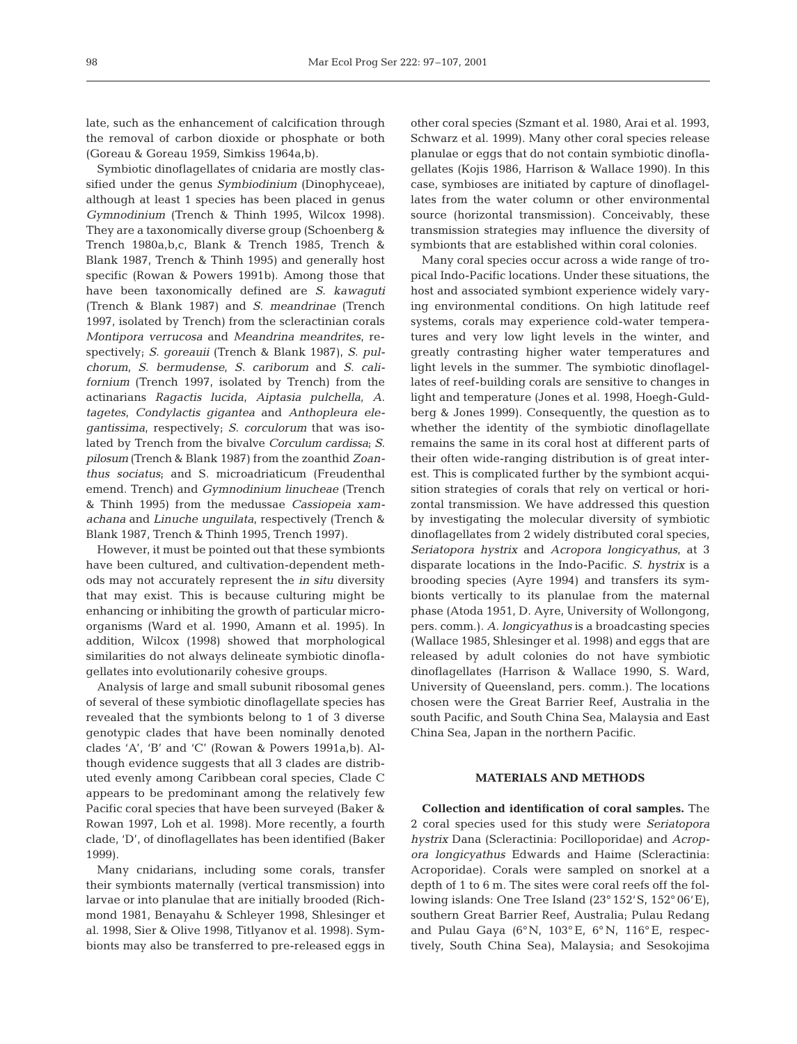late, such as the enhancement of calcification through the removal of carbon dioxide or phosphate or both (Goreau & Goreau 1959, Simkiss 1964a,b).

Symbiotic dinoflagellates of cnidaria are mostly classified under the genus *Symbiodinium* (Dinophyceae), although at least 1 species has been placed in genus *Gymnodinium* (Trench & Thinh 1995, Wilcox 1998). They are a taxonomically diverse group (Schoenberg & Trench 1980a,b,c, Blank & Trench 1985, Trench & Blank 1987, Trench & Thinh 1995) and generally host specific (Rowan & Powers 1991b). Among those that have been taxonomically defined are *S. kawaguti* (Trench & Blank 1987) and *S. meandrinae* (Trench 1997, isolated by Trench) from the scleractinian corals *Montipora verrucosa* and *Meandrina meandrites*, respectively; *S. goreauii* (Trench & Blank 1987)*, S. pulchorum, S. bermudense, S. cariborum* and *S. californium* (Trench 1997, isolated by Trench) from the actinarians *Ragactis lucida, Aiptasia pulchella, A. tagetes, Condylactis gigantea* and *Anthopleura elegantissima*, respectively; *S. corculorum* that was isolated by Trench from the bivalve *Corculum cardissa*; *S. pilosum* (Trench & Blank 1987) from the zoanthid *Zoanthus sociatus*; and S. microadriaticum (Freudenthal emend. Trench) and *Gymnodinium linucheae* (Trench & Thinh 1995) from the medussae *Cassiopeia xamachana* and *Linuche unguilata*, respectively (Trench & Blank 1987, Trench & Thinh 1995, Trench 1997).

However, it must be pointed out that these symbionts have been cultured, and cultivation-dependent methods may not accurately represent the *in situ* diversity that may exist. This is because culturing might be enhancing or inhibiting the growth of particular microorganisms (Ward et al. 1990, Amann et al. 1995). In addition, Wilcox (1998) showed that morphological similarities do not always delineate symbiotic dinoflagellates into evolutionarily cohesive groups.

Analysis of large and small subunit ribosomal genes of several of these symbiotic dinoflagellate species has revealed that the symbionts belong to 1 of 3 diverse genotypic clades that have been nominally denoted clades 'A', 'B' and 'C' (Rowan & Powers 1991a,b). Although evidence suggests that all 3 clades are distributed evenly among Caribbean coral species, Clade C appears to be predominant among the relatively few Pacific coral species that have been surveyed (Baker & Rowan 1997, Loh et al. 1998). More recently, a fourth clade, 'D', of dinoflagellates has been identified (Baker 1999).

Many cnidarians, including some corals, transfer their symbionts maternally (vertical transmission) into larvae or into planulae that are initially brooded (Richmond 1981, Benayahu & Schleyer 1998, Shlesinger et al. 1998, Sier & Olive 1998, Titlyanov et al. 1998). Symbionts may also be transferred to pre-released eggs in

other coral species (Szmant et al. 1980, Arai et al. 1993, Schwarz et al. 1999). Many other coral species release planulae or eggs that do not contain symbiotic dinoflagellates (Kojis 1986, Harrison & Wallace 1990). In this case, symbioses are initiated by capture of dinoflagellates from the water column or other environmental source (horizontal transmission). Conceivably, these transmission strategies may influence the diversity of symbionts that are established within coral colonies.

Many coral species occur across a wide range of tropical Indo-Pacific locations. Under these situations, the host and associated symbiont experience widely varying environmental conditions. On high latitude reef systems, corals may experience cold-water temperatures and very low light levels in the winter, and greatly contrasting higher water temperatures and light levels in the summer. The symbiotic dinoflagellates of reef-building corals are sensitive to changes in light and temperature (Jones et al. 1998, Hoegh-Guldberg & Jones 1999). Consequently, the question as to whether the identity of the symbiotic dinoflagellate remains the same in its coral host at different parts of their often wide-ranging distribution is of great interest. This is complicated further by the symbiont acquisition strategies of corals that rely on vertical or horizontal transmission. We have addressed this question by investigating the molecular diversity of symbiotic dinoflagellates from 2 widely distributed coral species, *Seriatopora hystrix* and *Acropora longicyathus*, at 3 disparate locations in the Indo-Pacific. *S. hystrix* is a brooding species (Ayre 1994) and transfers its symbionts vertically to its planulae from the maternal phase (Atoda 1951, D. Ayre, University of Wollongong, pers. comm.). *A. longicyathus* is a broadcasting species (Wallace 1985, Shlesinger et al. 1998) and eggs that are released by adult colonies do not have symbiotic dinoflagellates (Harrison & Wallace 1990, S. Ward, University of Queensland, pers. comm.). The locations chosen were the Great Barrier Reef, Australia in the south Pacific, and South China Sea, Malaysia and East China Sea, Japan in the northern Pacific.

# **MATERIALS AND METHODS**

**Collection and identification of coral samples.** The 2 coral species used for this study were *Seriatopora hystrix* Dana (Scleractinia: Pocilloporidae) and *Acropora longicyathus* Edwards and Haime (Scleractinia: Acroporidae). Corals were sampled on snorkel at a depth of 1 to 6 m. The sites were coral reefs off the following islands: One Tree Island (23° 152'S, 152° 06'E), southern Great Barrier Reef, Australia; Pulau Redang and Pulau Gaya (6°N, 103° E, 6° N, 116° E, respectively, South China Sea), Malaysia; and Sesokojima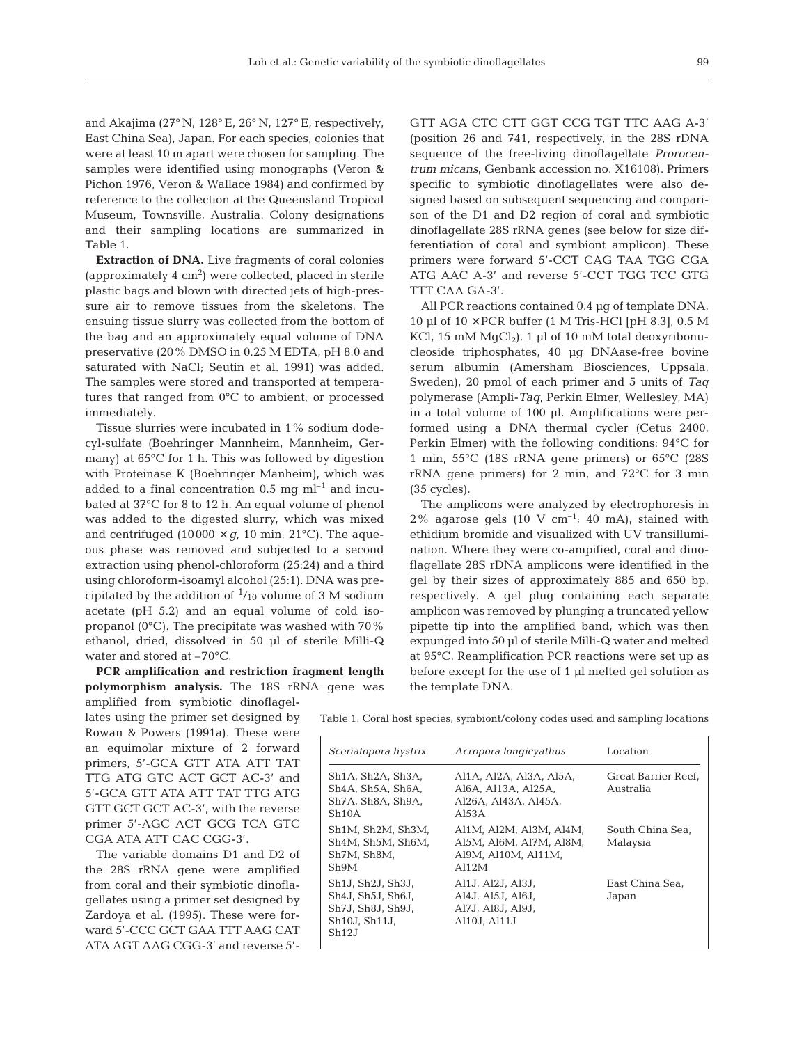and Akajima (27° N, 128° E, 26° N, 127° E, respectively, East China Sea), Japan. For each species, colonies that were at least 10 m apart were chosen for sampling. The samples were identified using monographs (Veron & Pichon 1976, Veron & Wallace 1984) and confirmed by reference to the collection at the Queensland Tropical Museum, Townsville, Australia. Colony designations and their sampling locations are summarized in Table 1.

**Extraction of DNA.** Live fragments of coral colonies (approximately  $4 \text{ cm}^2$ ) were collected, placed in sterile plastic bags and blown with directed jets of high-pressure air to remove tissues from the skeletons. The ensuing tissue slurry was collected from the bottom of the bag and an approximately equal volume of DNA preservative (20% DMSO in 0.25 M EDTA, pH 8.0 and saturated with NaCl; Seutin et al. 1991) was added. The samples were stored and transported at temperatures that ranged from 0°C to ambient, or processed immediately.

Tissue slurries were incubated in 1% sodium dodecyl-sulfate (Boehringer Mannheim, Mannheim, Germany) at 65°C for 1 h. This was followed by digestion with Proteinase K (Boehringer Manheim), which was added to a final concentration  $0.5 \text{ mg} \text{ ml}^{-1}$  and incubated at 37°C for 8 to 12 h. An equal volume of phenol was added to the digested slurry, which was mixed and centrifuged (10000  $\times$  *g*, 10 min, 21°C). The aqueous phase was removed and subjected to a second extraction using phenol-chloroform (25:24) and a third using chloroform-isoamyl alcohol (25:1). DNA was precipitated by the addition of  $\frac{1}{10}$  volume of 3 M sodium acetate (pH 5.2) and an equal volume of cold isopropanol (0°C). The precipitate was washed with 70% ethanol, dried, dissolved in 50 µl of sterile Milli-Q water and stored at –70°C.

**PCR amplification and restriction fragment length polymorphism analysis.** The 18S rRNA gene was

amplified from symbiotic dinoflagellates using the primer set designed by Rowan & Powers (1991a). These were an equimolar mixture of 2 forward primers, 5'-GCA GTT ATA ATT TAT TTG ATG GTC ACT GCT AC-3' and 5'-GCA GTT ATA ATT TAT TTG ATG GTT GCT GCT AC-3', with the reverse primer 5'-AGC ACT GCG TCA GTC CGA ATA ATT CAC CGG-3'.

The variable domains D1 and D2 of the 28S rRNA gene were amplified from coral and their symbiotic dinoflagellates using a primer set designed by Zardoya et al. (1995). These were forward 5'-CCC GCT GAA TTT AAG CAT ATA AGT AAG CGG-3' and reverse 5'-

GTT AGA CTC CTT GGT CCG TGT TTC AAG A-3' (position 26 and 741, respectively, in the 28S rDNA sequence of the free-living dinoflagellate *Prorocentrum micans,* Genbank accession no. X16108). Primers specific to symbiotic dinoflagellates were also designed based on subsequent sequencing and comparison of the D1 and D2 region of coral and symbiotic dinoflagellate 28S rRNA genes (see below for size differentiation of coral and symbiont amplicon). These primers were forward 5'-CCT CAG TAA TGG CGA ATG AAC A-3' and reverse 5'-CCT TGG TCC GTG TTT CAA GA-3'.

All PCR reactions contained 0.4 µg of template DNA, 10 µl of  $10 \times PCR$  buffer (1 M Tris-HCl [pH 8.3], 0.5 M KCl, 15 mM  $MgCl<sub>2</sub>$ , 1 µl of 10 mM total deoxyribonucleoside triphosphates, 40 µg DNAase-free bovine serum albumin (Amersham Biosciences, Uppsala, Sweden), 20 pmol of each primer and 5 units of *Taq* polymerase (Ampli-*Taq*, Perkin Elmer, Wellesley, MA) in a total volume of 100 µl. Amplifications were performed using a DNA thermal cycler (Cetus 2400, Perkin Elmer) with the following conditions: 94°C for 1 min, 55°C (18S rRNA gene primers) or 65°C (28S rRNA gene primers) for 2 min, and 72°C for 3 min (35 cycles).

The amplicons were analyzed by electrophoresis in  $2\%$  agarose gels  $(10 \text{ V cm}^{-1})$ ; 40 mA), stained with ethidium bromide and visualized with UV transillumination. Where they were co-ampified, coral and dinoflagellate 28S rDNA amplicons were identified in the gel by their sizes of approximately 885 and 650 bp, respectively. A gel plug containing each separate amplicon was removed by plunging a truncated yellow pipette tip into the amplified band, which was then expunged into 50 µl of sterile Milli-Q water and melted at 95°C. Reamplification PCR reactions were set up as before except for the use of 1 µl melted gel solution as the template DNA.

Table 1. Coral host species, symbiont/colony codes used and sampling locations

| Sceriatopora hystrix                                                                                        | Acropora longicyathus                                                              | Location                         |
|-------------------------------------------------------------------------------------------------------------|------------------------------------------------------------------------------------|----------------------------------|
| Sh <sub>1</sub> A, Sh <sub>2</sub> A, Sh <sub>3</sub> A,<br>Sh4A, Sh5A, Sh6A,<br>Sh7A, Sh8A, Sh9A,<br>Sh10A | Al1A, Al2A, Al3A, Al5A,<br>Al6A, Al13A, Al25A,<br>Al26A, Al43A, Al45A,<br>A153A    | Great Barrier Reef.<br>Australia |
| Sh1M. Sh2M. Sh3M.<br>Sh4M, Sh5M, Sh6M,<br>Sh7M, Sh8M,<br>Sh9M                                               | Al1M. Al2M. Al3M. Al4M.<br>Al5M, Al6M, Al7M, Al8M,<br>Al9M. Al10M. Al11M.<br>A112M | South China Sea.<br>Malaysia     |
| Sh1J, Sh2J, Sh3J,<br>Sh4J, Sh5J, Sh6J,<br>Sh7J, Sh8J, Sh9J,<br>Sh10J, Sh11J,<br>Sh12 <sub>J</sub>           | Al1J, Al2J, Al3J,<br>Al4J. Al5J. Al6J.<br>Al7J. Al8J. Al9J.<br>Al10J, Al11J        | East China Sea,<br>Japan         |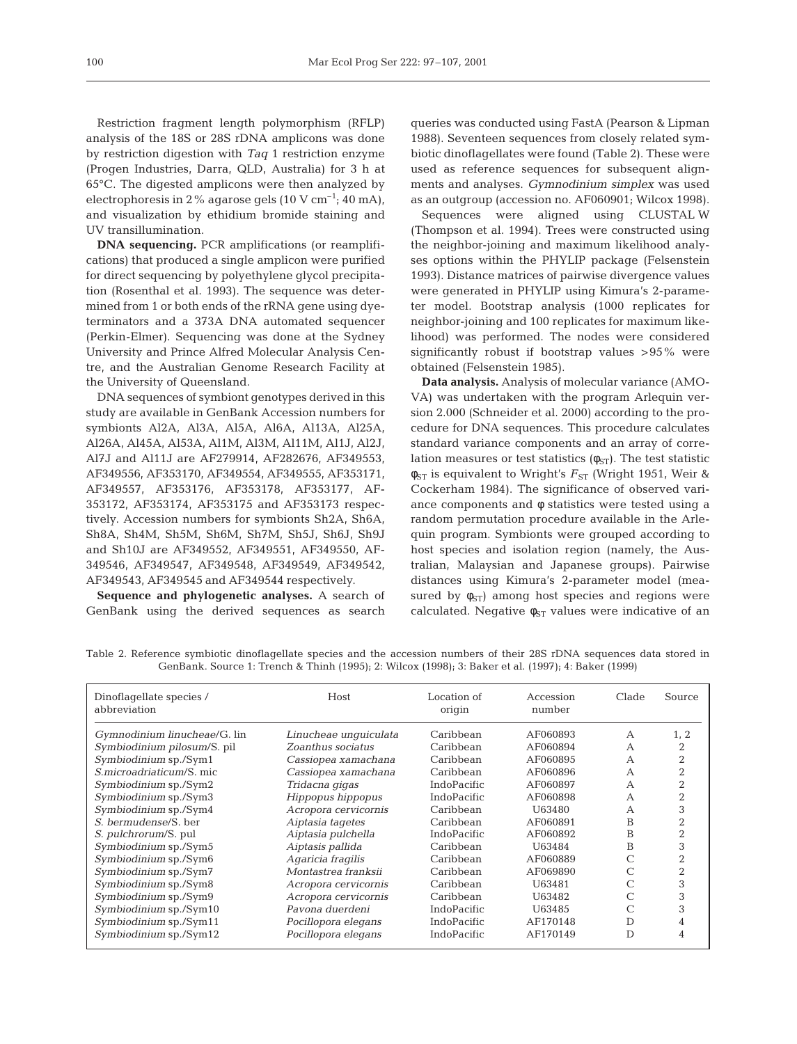Restriction fragment length polymorphism (RFLP) analysis of the 18S or 28S rDNA amplicons was done by restriction digestion with *Taq* 1 restriction enzyme (Progen Industries, Darra, QLD, Australia) for 3 h at 65°C. The digested amplicons were then analyzed by electrophoresis in 2% agarose gels  $(10 \text{ V cm}^{-1}; 40 \text{ mA})$ , and visualization by ethidium bromide staining and UV transillumination.

**DNA sequencing.** PCR amplifications (or reamplifications) that produced a single amplicon were purified for direct sequencing by polyethylene glycol precipitation (Rosenthal et al. 1993). The sequence was determined from 1 or both ends of the rRNA gene using dyeterminators and a 373A DNA automated sequencer (Perkin-Elmer). Sequencing was done at the Sydney University and Prince Alfred Molecular Analysis Centre, and the Australian Genome Research Facility at the University of Queensland.

DNA sequences of symbiont genotypes derived in this study are available in GenBank Accession numbers for symbionts Al2A, Al3A, Al5A, Al6A, Al13A, Al25A, Al26A, Al45A, Al53A, Al1M, Al3M, Al11M, Al1J, Al2J, Al7J and Al11J are AF279914, AF282676, AF349553, AF349556, AF353170, AF349554, AF349555, AF353171, AF349557, AF353176, AF353178, AF353177, AF-353172, AF353174, AF353175 and AF353173 respectively. Accession numbers for symbionts Sh2A, Sh6A, Sh8A, Sh4M, Sh5M, Sh6M, Sh7M, Sh5J, Sh6J, Sh9J and Sh10J are AF349552, AF349551, AF349550, AF-349546, AF349547, AF349548, AF349549, AF349542, AF349543, AF349545 and AF349544 respectively.

**Sequence and phylogenetic analyses.** A search of GenBank using the derived sequences as search queries was conducted using FastA (Pearson & Lipman 1988). Seventeen sequences from closely related symbiotic dinoflagellates were found (Table 2). These were used as reference sequences for subsequent alignments and analyses. *Gymnodinium simplex* was used as an outgroup (accession no. AF060901; Wilcox 1998).

Sequences were aligned using CLUSTAL W (Thompson et al. 1994). Trees were constructed using the neighbor-joining and maximum likelihood analyses options within the PHYLIP package (Felsenstein 1993). Distance matrices of pairwise divergence values were generated in PHYLIP using Kimura's 2-parameter model. Bootstrap analysis (1000 replicates for neighbor-joining and 100 replicates for maximum likelihood) was performed. The nodes were considered significantly robust if bootstrap values >95% were obtained (Felsenstein 1985).

**Data analysis.** Analysis of molecular variance (AMO-VA) was undertaken with the program Arlequin version 2.000 (Schneider et al. 2000) according to the procedure for DNA sequences. This procedure calculates standard variance components and an array of correlation measures or test statistics  $(\phi_{ST})$ . The test statistic  $φ<sub>ST</sub>$  is equivalent to Wright's  $F<sub>ST</sub>$  (Wright 1951, Weir & Cockerham 1984). The significance of observed variance components and φ statistics were tested using a random permutation procedure available in the Arlequin program. Symbionts were grouped according to host species and isolation region (namely, the Australian, Malaysian and Japanese groups). Pairwise distances using Kimura's 2-parameter model (measured by  $\phi_{ST}$ ) among host species and regions were calculated. Negative  $\phi_{ST}$  values were indicative of an

| Dinoflagellate species /<br>abbreviation | Host                  | Location of<br>origin | Accession<br>number | Clade | Source |
|------------------------------------------|-----------------------|-----------------------|---------------------|-------|--------|
| Gymnodinium linucheae/G. lin             | Linucheae unquiculata | Caribbean             | AF060893            | А     | 1, 2   |
| Symbiodinium pilosum/S. pil              | Zoanthus sociatus     | Caribbean             | AF060894            | А     |        |
| Symbiodinium sp./Sym1                    | Cassiopea xamachana   | Caribbean             | AF060895            | А     |        |
| S.microadriaticum/S.mic.                 | Cassiopea xamachana   | Caribbean             | AF060896            | A     |        |
| Symbiodinium sp./Sym2                    | Tridacna gigas        | IndoPacific           | AF060897            | А     |        |
| Symbiodinium sp./Sym3                    | Hippopus hippopus     | IndoPacific           | AF060898            | A     |        |
| Symbiodinium sp./Sym4                    | Acropora cervicornis  | Caribbean             | U63480              | А     | 3      |
| S. bermudense/S. ber                     | Aiptasia tagetes      | Caribbean             | AF060891            | B     |        |
| S. pulchrorum/S. pul                     | Aiptasia pulchella    | IndoPacific           | AF060892            | B     |        |
| Symbiodinium sp./Sym5                    | Aiptasis pallida      | Caribbean             | U63484              | B     | 3      |
| Symbiodinium sp./Sym6                    | Agaricia fragilis     | Caribbean             | AF060889            |       |        |
| Symbiodinium sp./Sym7                    | Montastrea franksii   | Caribbean             | AF069890            |       | 2      |
| Symbiodinium sp./Sym8                    | Acropora cervicornis  | Caribbean             | U63481              |       | 3      |
| Symbiodinium sp./Sym9                    | Acropora cervicornis  | Caribbean             | U63482              |       | 3      |
| Symbiodinium sp./Sym10                   | Pavona duerdeni       | IndoPacific           | U63485              |       |        |
| Symbiodinium sp./Sym11                   | Pocillopora elegans   | IndoPacific           | AF170148            | D     |        |
| Symbiodinium sp./Sym12                   | Pocillopora elegans   | IndoPacific           | AF170149            | D     | 4      |

Table 2. Reference symbiotic dinoflagellate species and the accession numbers of their 28S rDNA sequences data stored in GenBank. Source 1: Trench & Thinh (1995); 2: Wilcox (1998); 3: Baker et al. (1997); 4: Baker (1999)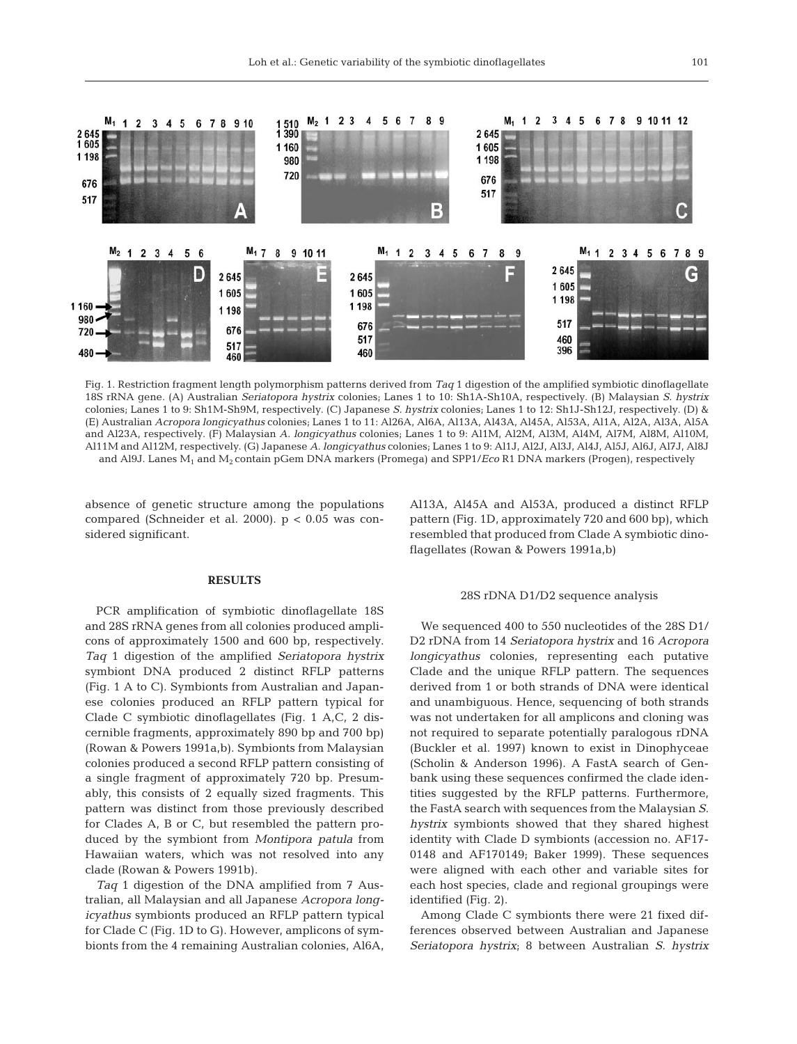

Fig. 1. Restriction fragment length polymorphism patterns derived from *Taq* 1 digestion of the amplified symbiotic dinoflagellate 18S rRNA gene. (A) Australian *Seriatopora hystrix* colonies; Lanes 1 to 10: Sh1A-Sh10A, respectively. (B) Malaysian *S. hystrix* colonies; Lanes 1 to 9: Sh1M-Sh9M, respectively. (C) Japanese *S. hystrix* colonies; Lanes 1 to 12: Sh1J-Sh12J, respectively. (D) & (E) Australian *Acropora longicyathus* colonies; Lanes 1 to 11: Al26A, Al6A, Al13A, Al43A, Al45A, Al53A, Al1A, Al2A, Al3A, Al5A and Al23A, respectively. (F) Malaysian *A. longicyathus* colonies; Lanes 1 to 9: Al1M, Al2M, Al3M, Al4M, Al7M, Al8M, Al10M, Al11M and Al12M, respectively. (G) Japanese *A. longicyathus* colonies; Lanes 1 to 9: Al1J, Al2J, Al3J, Al4J, Al5J, Al6J, Al7J, Al8J and Al9J. Lanes M1 and M2 contain pGem DNA markers (Promega) and SPP1/*Eco* R1 DNA markers (Progen), respectively

absence of genetic structure among the populations compared (Schneider et al. 2000).  $p < 0.05$  was considered significant.

# **RESULTS**

PCR amplification of symbiotic dinoflagellate 18S and 28S rRNA genes from all colonies produced amplicons of approximately 1500 and 600 bp, respectively. *Taq* 1 digestion of the amplified *Seriatopora hystrix* symbiont DNA produced 2 distinct RFLP patterns (Fig. 1 A to C). Symbionts from Australian and Japanese colonies produced an RFLP pattern typical for Clade C symbiotic dinoflagellates (Fig. 1 A,C, 2 discernible fragments, approximately 890 bp and 700 bp) (Rowan & Powers 1991a,b). Symbionts from Malaysian colonies produced a second RFLP pattern consisting of a single fragment of approximately 720 bp. Presumably, this consists of 2 equally sized fragments. This pattern was distinct from those previously described for Clades A, B or C, but resembled the pattern produced by the symbiont from *Montipora patula* from Hawaiian waters, which was not resolved into any clade (Rowan & Powers 1991b).

*Taq* 1 digestion of the DNA amplified from 7 Australian, all Malaysian and all Japanese *Acropora longicyathus* symbionts produced an RFLP pattern typical for Clade C (Fig. 1D to G). However, amplicons of symbionts from the 4 remaining Australian colonies, Al6A,

Al13A, Al45A and Al53A, produced a distinct RFLP pattern (Fig. 1D, approximately 720 and 600 bp), which resembled that produced from Clade A symbiotic dinoflagellates (Rowan & Powers 1991a,b)

## 28S rDNA D1/D2 sequence analysis

We sequenced 400 to 550 nucleotides of the 28S D1/ D2 rDNA from 14 *Seriatopora hystrix* and 16 *Acropora longicyathus* colonies, representing each putative Clade and the unique RFLP pattern. The sequences derived from 1 or both strands of DNA were identical and unambiguous. Hence, sequencing of both strands was not undertaken for all amplicons and cloning was not required to separate potentially paralogous rDNA (Buckler et al. 1997) known to exist in Dinophyceae (Scholin & Anderson 1996). A FastA search of Genbank using these sequences confirmed the clade identities suggested by the RFLP patterns. Furthermore, the FastA search with sequences from the Malaysian *S. hystrix* symbionts showed that they shared highest identity with Clade D symbionts (accession no. AF17- 0148 and AF170149; Baker 1999). These sequences were aligned with each other and variable sites for each host species, clade and regional groupings were identified (Fig. 2).

Among Clade C symbionts there were 21 fixed differences observed between Australian and Japanese *Seriatopora hystrix*; 8 between Australian *S. hystrix*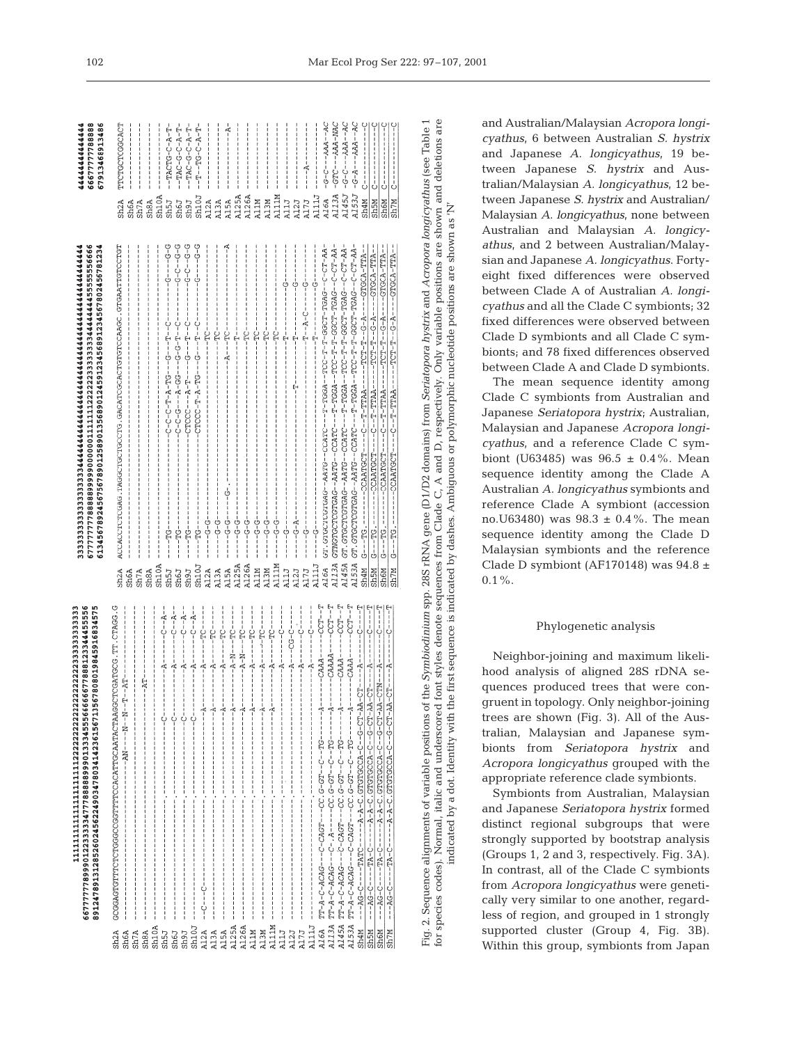|                                        | 667777778999012223333347778888899901333455566666677888123344455556<br>89124789131285260245622490347803414236156713567808019845916834575 |                            | 67777777788888999990000001111111222223333333344444445555555666<br>61345678924567567890125890135689012459123456891234567802456781234 | 66677777788888<br>67913468913486           |  |
|----------------------------------------|-----------------------------------------------------------------------------------------------------------------------------------------|----------------------------|-------------------------------------------------------------------------------------------------------------------------------------|--------------------------------------------|--|
| Sh <sub>2</sub> A<br>Sh6A              | GCGGAGTGTTTCTCTGGGCCGGTTTTCCACATTGCAATACTAAGGCTCGATGCG.TTT.CTAGG.G                                                                      | Sh <sub>2</sub> A<br>Sh6A  | ACCACCTCTCGAG.TAGGCTGCCTG.GACATCGCACTGTCCAAGC.GTGAATTGTCCTGT                                                                        | TTCTGCTCGCACT<br>Sh <sub>2</sub> A<br>Sh6A |  |
| Sh <sub>7</sub> A<br>Sh <sub>8</sub> A | --AT--                                                                                                                                  | Sh <sub>8</sub> A<br>\$h7A |                                                                                                                                     | $\sin 7A$                                  |  |
| Sh10A                                  |                                                                                                                                         | Sh10A                      |                                                                                                                                     | Sh <sub>8</sub> A                          |  |
| <b>USUS</b>                            | $-6 - - - - - - -$                                                                                                                      | <b>USUS</b>                | ウーウーーーーウー<br>----55-----                                                                                                            | $-TACTC-C-A-T$<br>$$M10A$$<br>$$M5J$$      |  |
| <b>Lens</b><br>Sh6J                    | $-6 - -7 -$<br>$-1$ $-1$ $-1$ $-1$ $-1$                                                                                                 | Sh6J                       | ひーウーーひーウー                                                                                                                           | $-TAC-C-CT-CT$<br><b>Ugd2</b>              |  |
| Sh10J                                  | $-4 - 0 - 4$<br>-----------                                                                                                             | <b>Leus</b>                | 0-0-0-0-0-                                                                                                                          | $-4-0-0-0-0$<br><b>Leds</b>                |  |
| A12A                                   |                                                                                                                                         | Sh10J                      | -9---------                                                                                                                         | $T - T - T - TG - C - A - T$<br>Sh10J      |  |
| A13A                                   |                                                                                                                                         | Al2A<br>Al3A<br>Al5A       | $-9 - 9 - 9 - 9 - 9 - 9$                                                                                                            | A12A                                       |  |
| A15A                                   |                                                                                                                                         |                            | $-5 - 5 - 1$                                                                                                                        | Al3A                                       |  |
| A125A                                  |                                                                                                                                         |                            | $-1$ - $-1$ - $-1$ - $-1$<br>-- 5 - - - - - - - - - - - - - -                                                                       | - 4 - - - - - - - - - - - - -<br>Al5A      |  |
| A126A                                  |                                                                                                                                         | A125A<br>A126A<br>A11M     | $-1 - 9 - 9 - 9 - 1$                                                                                                                | A125A                                      |  |
| A11M                                   |                                                                                                                                         |                            |                                                                                                                                     | A126A                                      |  |
| A13M                                   |                                                                                                                                         |                            |                                                                                                                                     | A11M                                       |  |
| A111M                                  | $- - - - - - - - - - -$                                                                                                                 | A13M                       | $-10T - 1$<br>$-1 - 9 - 9 - 1 - 1$                                                                                                  | A13M                                       |  |
| A11J                                   |                                                                                                                                         | A111M                      | $-1$ - $-1$ - $-1$ - $-1$                                                                                                           | A111M                                      |  |
| A12J                                   | ---ひ-ひひ---ば------                                                                                                                       | A11J                       | $-1 - -1 - -1$                                                                                                                      | A11J                                       |  |
| A17J                                   |                                                                                                                                         | A12J                       | $-1$ - $-1$ - $-1$ - $-1$<br>$-4 - - - - - - - - - - - -$                                                                           | A12J                                       |  |
| A111J                                  | $-1 - 1 - 1 - 1 - 1$<br>$- - - - - - - - - - - -$                                                                                       | A17J                       |                                                                                                                                     | A17J                                       |  |
| A16A                                   | $-CCT - T$<br>$---CAA - -$                                                                                                              | A111J                      | $-10 - 1$<br>-----------                                                                                                            | A111J                                      |  |
| A113A                                  | $-CCT - T$<br>----21---2--159-5・20----15942-2----5424-2-4-171                                                                           | A16A                       | GT. GTGCTCGTGAG--AATG--CCATC---T-TGGA--TCC-T-T-GGCT-TGAG--C-CT-AA                                                                   | $-G - C - -AAA - -AC$<br>A16A              |  |
| A145A                                  | $-CCT - T$                                                                                                                              | A113A                      | GTNGTGCTCGTGAG--AATG--CCATC---T-TGGA--TCC-T-T-GGCT-TGAG--C-CT-AA-                                                                   | -GTC---AAA-MAC<br>A113A                    |  |
| A153A                                  | - こここつ                                                                                                                                  | A145A                      | GT.GTGCTCGTGAG--AATG--CCATC---T-TGGA--TCC-T-T-GGCT-TGAG--C-CT-AA                                                                    | $-C - C - - - A A A - - A C$<br>A145J      |  |
| Sh4M                                   | -C-------                                                                                                                               | A153A                      | GT.GTCCTCGTGAG--AATG--CCATC---T-TGGA--TCC-T-T-GGCT-TGAG--C-CT-AA                                                                    | $-G - A - - A A A - - A C$<br>A153J        |  |
| <b>Sh5M</b>                            | ロー・コール コート・コール スープ・コール アプリー アプリー アール・コール こうしゅうしゅう アプリー・コール アプリー・コール アプリー・コール                                                            | Sh4M                       |                                                                                                                                     | ひ‐‐‐‐‐‐‐‐‐‐‐‐‐‐)<br>Sh4M                   |  |
| Sh6M                                   | $CTN$ - - $A$ -<br>- ME- LJ-9--J--EU-EUDDLDLD 19-E-E-----U-EL----U-DE----                                                               | <b>NSUS</b><br><b>Sh6M</b> | G---TG.-------CCAATGCT----C--T-TTAA-----TCT-T-G-A----GTGCA-TTA-                                                                     | $C_1 = 1 - 1 - 1 - 1 - 1$<br>Sh5M          |  |
| Sh7M                                   | $-4---T$                                                                                                                                | Sh7M                       | $G---TC.$                                                                                                                           | Sh7M<br>Sh6M                               |  |
|                                        |                                                                                                                                         |                            |                                                                                                                                     |                                            |  |
|                                        |                                                                                                                                         |                            |                                                                                                                                     |                                            |  |

Fig. 2. Sequence alignments of variable positions of the *Symbiodinium* spp. 28S rRNA gene (D1/D2 domains) from *Seriatopora hystrix* and *Acropora longicyathus* (see Table 1<br>for species codes). Normal, italic and undersco for species codes). Normal, italic and underscored font styles denote sequences from Clade C, A and D, respectively. Only variable positions are shown and deletions are Fig. 2. Sequence alignments of variable positions of the *Symbiodinium* spp. 28S rRNA gene (D1/D2 domains) from *Seriatopora hystrix* and *Acropora longicyathus* (see Table 1 indicated by a dot. Identity with the first sequence is indicated by dashes. Ambiguous or polymorphic nucleotide positions are shown as 'N'

and Australian/Malaysian *Acropora longicyathus*, 6 between Australian *S. hystrix* and Japanese *A. longicyathus*, 19 between Japanese *S. hystrix* and Australian/Malaysian *A. longicyathus*, 12 between Japanese *S. hystrix* and Australian/ Malaysian *A. longicyathus*, none between Australian and Malaysian *A. longicyathus*, and 2 between Australian/Malaysian and Japanese *A. longicyathus*. Fortyeight fixed differences were observed between Clade A of Australian *A. longicyathus* and all the Clade C symbionts; 32 fixed differences were observed between Clade D symbionts and all Clade C symbionts; and 78 fixed differences observed between Clade A and Clade D symbionts.

The mean sequence identity among Clade C symbionts from Australian and Japanese *Seriatopora hystrix*; Australian, Malaysian and Japanese *Acropora longicyathus*, and a reference Clade C symbiont (U63485) was  $96.5 \pm 0.4\%$ . Mean sequence identity among the Clade A Australian *A. longicyathus* symbionts and reference Clade A symbiont (accession no.U63480) was 98.3 ± 0.4%. The mean sequence identity among the Clade D Malaysian symbionts and the reference Clade D symbiont (AF170148) was  $94.8 \pm$  $0.1\%$ .

# Phylogenetic analysis

Neighbor-joining and maximum likelihood analysis of aligned 28S rDNA sequences produced trees that were congruent in topology. Only neighbor-joining trees are shown (Fig. 3). All of the Australian, Malaysian and Japanese symbionts from *Seriatopora hystrix* and *Acropora longicyathus* grouped with the appropriate reference clade symbionts.

Symbionts from Australian, Malaysian and Japanese *Seriatopora hystrix* formed distinct regional subgroups that were strongly supported by bootstrap analysis (Groups 1, 2 and 3, respectively. Fig. 3A*).* In contrast, all of the Clade C symbionts from *Acropora longicyathus* were genetically very similar to one another, regardless of region, and grouped in 1 strongly supported cluster (Group 4, Fig. 3B). Within this group, symbionts from Japan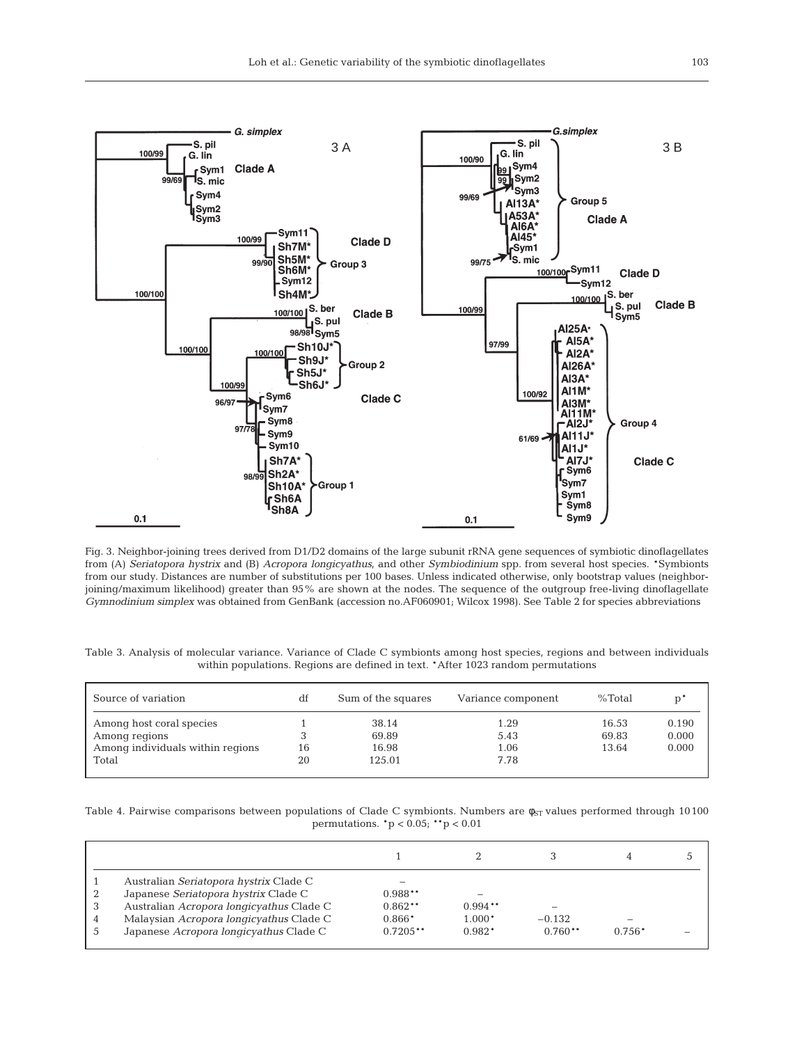

Fig. 3. Neighbor-joining trees derived from D1/D2 domains of the large subunit rRNA gene sequences of symbiotic dinoflagellates from (A) *Seriatopora hystrix* and (B) *Acropora longicyathus,* and other *Symbiodinium* spp. from several host species. \*Symbionts from our study. Distances are number of substitutions per 100 bases. Unless indicated otherwise, only bootstrap values (neighborjoining/maximum likelihood) greater than 95% are shown at the nodes. The sequence of the outgroup free-living dinoflagellate *Gymnodinium simplex* was obtained from GenBank (accession no.AF060901; Wilcox 1998). See Table 2 for species abbreviations

Table 3. Analysis of molecular variance. Variance of Clade C symbionts among host species, regions and between individuals within populations. Regions are defined in text. \*After 1023 random permutations

| Source of variation              | df | Sum of the squares | Variance component | %Total |       |
|----------------------------------|----|--------------------|--------------------|--------|-------|
| Among host coral species         |    | 38.14              | 1.29               | 16.53  | 0.190 |
| Among regions                    |    | 69.89              | 5.43               | 69.83  | 0.000 |
| Among individuals within regions | 16 | 16.98              | 1.06               | 13.64  | 0.000 |
| Total                            | 20 | 125.01             | 7.78               |        |       |
|                                  |    |                    |                    |        |       |

Table 4. Pairwise comparisons between populations of Clade C symbionts. Numbers are  $\phi_{ST}$  values performed through 10100 permutations. \*p < 0.05; \*\*p < 0.01

| Australian Seriatopora hystrix Clade C   |            |                          |                          |          |  |
|------------------------------------------|------------|--------------------------|--------------------------|----------|--|
| Japanese Seriatopora hystrix Clade C     | $0.988**$  | $\overline{\phantom{a}}$ |                          |          |  |
| Australian Acropora longicyathus Clade C | $0.862**$  | $0.994**$                | $\overline{\phantom{a}}$ |          |  |
| Malaysian Acropora longicyathus Clade C  | $0.866*$   | $1.000*$                 | $-0.132$                 |          |  |
| Japanese Acropora longicyathus Clade C   | $0.7205**$ | $0.982*$                 | $0.760**$                | $0.756*$ |  |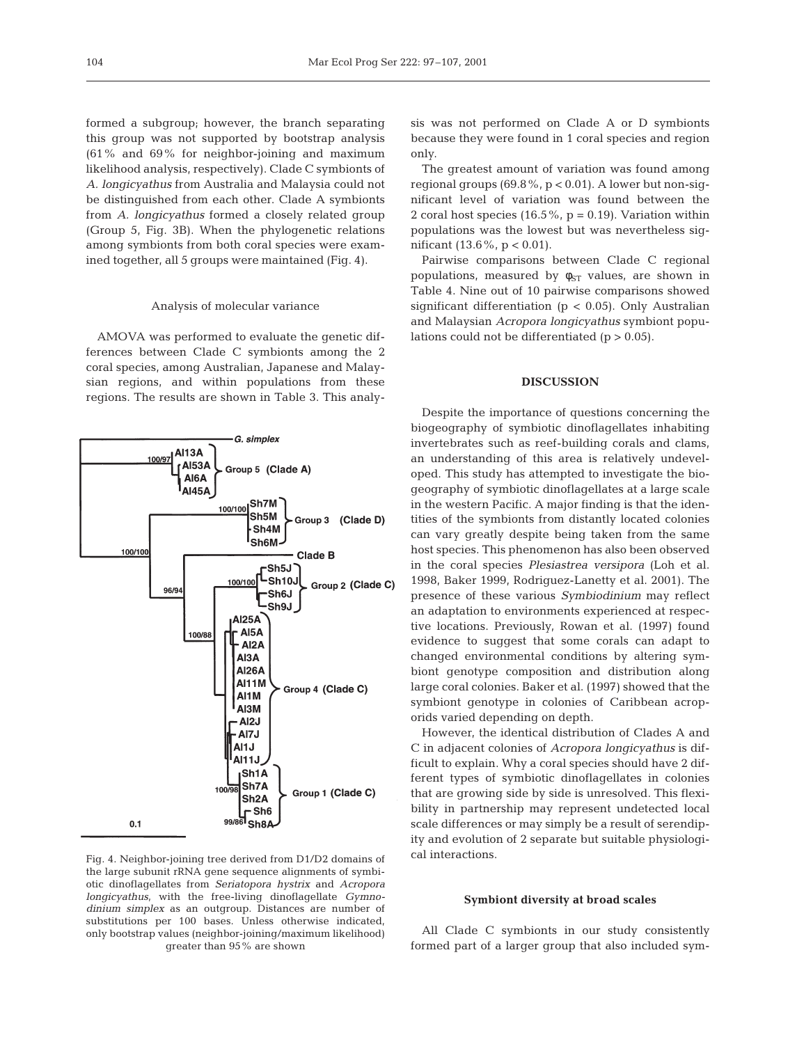formed a subgroup; however, the branch separating this group was not supported by bootstrap analysis (61% and 69% for neighbor-joining and maximum likelihood analysis, respectively). Clade C symbionts of *A. longicyathus* from Australia and Malaysia could not be distinguished from each other. Clade A symbionts from *A. longicyathus* formed a closely related group (Group 5, Fig. 3B). When the phylogenetic relations among symbionts from both coral species were examined together, all 5 groups were maintained (Fig. 4).

#### Analysis of molecular variance

AMOVA was performed to evaluate the genetic differences between Clade C symbionts among the 2 coral species, among Australian, Japanese and Malaysian regions, and within populations from these regions. The results are shown in Table 3. This analy-



Fig. 4. Neighbor-joining tree derived from D1/D2 domains of the large subunit rRNA gene sequence alignments of symbiotic dinoflagellates from *Seriatopora hystrix* and *Acropora longicyathus*, with the free-living dinoflagellate *Gymnodinium simplex* as an outgroup. Distances are number of substitutions per 100 bases. Unless otherwise indicated, only bootstrap values (neighbor-joining/maximum likelihood) greater than 95% are shown

sis was not performed on Clade A or D symbionts because they were found in 1 coral species and region only.

The greatest amount of variation was found among regional groups  $(69.8\%, p < 0.01)$ . A lower but non-significant level of variation was found between the 2 coral host species  $(16.5\% , p = 0.19)$ . Variation within populations was the lowest but was nevertheless significant (13.6%,  $p < 0.01$ ).

Pairwise comparisons between Clade C regional populations, measured by  $\phi_{ST}$  values, are shown in Table 4. Nine out of 10 pairwise comparisons showed significant differentiation ( $p < 0.05$ ). Only Australian and Malaysian *Acropora longicyathus* symbiont populations could not be differentiated  $(p > 0.05)$ .

# **DISCUSSION**

Despite the importance of questions concerning the biogeography of symbiotic dinoflagellates inhabiting invertebrates such as reef-building corals and clams, an understanding of this area is relatively undeveloped. This study has attempted to investigate the biogeography of symbiotic dinoflagellates at a large scale in the western Pacific. A major finding is that the identities of the symbionts from distantly located colonies can vary greatly despite being taken from the same host species. This phenomenon has also been observed in the coral species *Plesiastrea versipora* (Loh et al. 1998, Baker 1999, Rodriguez-Lanetty et al. 2001). The presence of these various *Symbiodinium* may reflect an adaptation to environments experienced at respective locations. Previously, Rowan et al. (1997) found evidence to suggest that some corals can adapt to changed environmental conditions by altering symbiont genotype composition and distribution along large coral colonies. Baker et al. (1997) showed that the symbiont genotype in colonies of Caribbean acroporids varied depending on depth.

However, the identical distribution of Clades A and C in adjacent colonies of *Acropora longicyathus* is difficult to explain. Why a coral species should have 2 different types of symbiotic dinoflagellates in colonies that are growing side by side is unresolved. This flexibility in partnership may represent undetected local scale differences or may simply be a result of serendipity and evolution of 2 separate but suitable physiological interactions.

#### **Symbiont diversity at broad scales**

All Clade C symbionts in our study consistently formed part of a larger group that also included sym-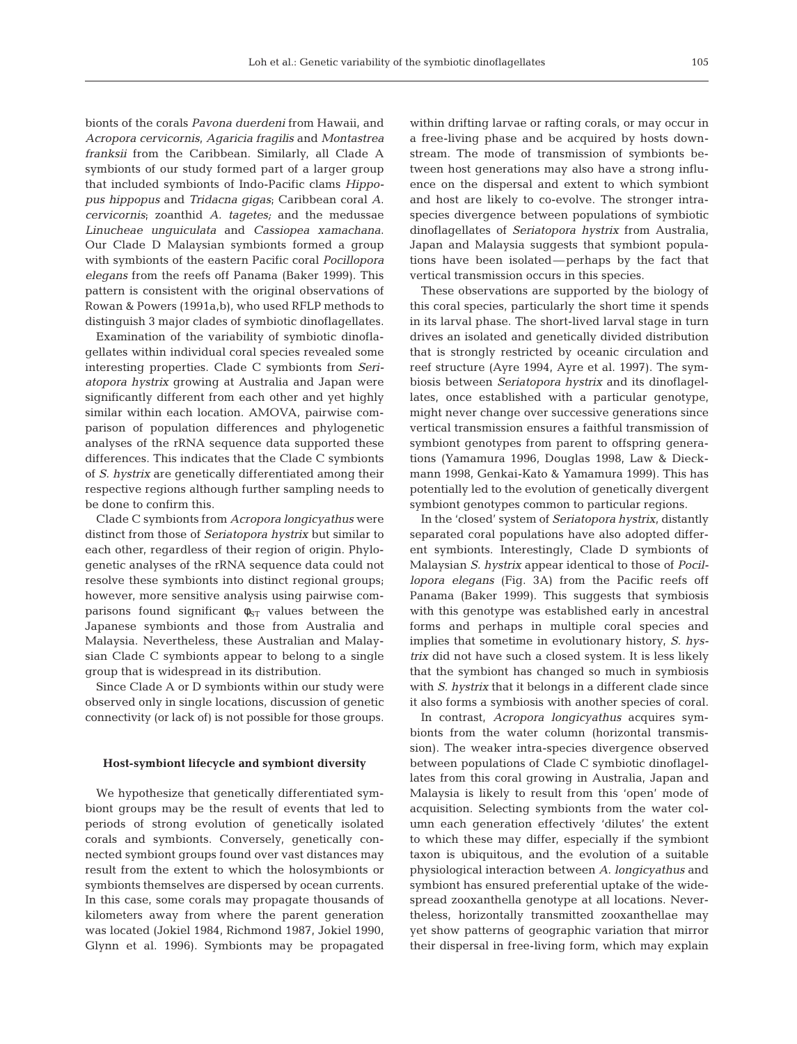bionts of the corals *Pavona duerdeni* from Hawaii, and *Acropora cervicornis*, *Agaricia fragilis* and *Montastrea franksii* from the Caribbean. Similarly, all Clade A symbionts of our study formed part of a larger group that included symbionts of Indo-Pacific clams *Hippopus hippopus* and *Tridacna gigas*; Caribbean coral *A*. *cervicornis*; zoanthid *A. tagetes;* and the medussae *Linucheae unguiculata* and *Cassiopea xamachana*. Our Clade D Malaysian symbionts formed a group with symbionts of the eastern Pacific coral *Pocillopora elegans* from the reefs off Panama (Baker 1999). This pattern is consistent with the original observations of Rowan & Powers (1991a,b), who used RFLP methods to distinguish 3 major clades of symbiotic dinoflagellates.

Examination of the variability of symbiotic dinoflagellates within individual coral species revealed some interesting properties. Clade C symbionts from *Seriatopora hystrix* growing at Australia and Japan were significantly different from each other and yet highly similar within each location. AMOVA, pairwise comparison of population differences and phylogenetic analyses of the rRNA sequence data supported these differences. This indicates that the Clade C symbionts of *S. hystrix* are genetically differentiated among their respective regions although further sampling needs to be done to confirm this.

Clade C symbionts from *Acropora longicyathus* were distinct from those of *Seriatopora hystrix* but similar to each other, regardless of their region of origin. Phylogenetic analyses of the rRNA sequence data could not resolve these symbionts into distinct regional groups; however, more sensitive analysis using pairwise comparisons found significant  $\phi_{ST}$  values between the Japanese symbionts and those from Australia and Malaysia. Nevertheless, these Australian and Malaysian Clade C symbionts appear to belong to a single group that is widespread in its distribution.

Since Clade A or D symbionts within our study were observed only in single locations, discussion of genetic connectivity (or lack of) is not possible for those groups.

## **Host-symbiont lifecycle and symbiont diversity**

We hypothesize that genetically differentiated symbiont groups may be the result of events that led to periods of strong evolution of genetically isolated corals and symbionts. Conversely, genetically connected symbiont groups found over vast distances may result from the extent to which the holosymbionts or symbionts themselves are dispersed by ocean currents. In this case, some corals may propagate thousands of kilometers away from where the parent generation was located (Jokiel 1984, Richmond 1987, Jokiel 1990, Glynn et al. 1996). Symbionts may be propagated

within drifting larvae or rafting corals, or may occur in a free-living phase and be acquired by hosts downstream. The mode of transmission of symbionts between host generations may also have a strong influence on the dispersal and extent to which symbiont and host are likely to co-evolve. The stronger intraspecies divergence between populations of symbiotic dinoflagellates of *Seriatopora hystrix* from Australia, Japan and Malaysia suggests that symbiont populations have been isolated—perhaps by the fact that vertical transmission occurs in this species.

These observations are supported by the biology of this coral species, particularly the short time it spends in its larval phase. The short-lived larval stage in turn drives an isolated and genetically divided distribution that is strongly restricted by oceanic circulation and reef structure (Ayre 1994, Ayre et al. 1997). The symbiosis between *Seriatopora hystrix* and its dinoflagellates, once established with a particular genotype, might never change over successive generations since vertical transmission ensures a faithful transmission of symbiont genotypes from parent to offspring generations (Yamamura 1996, Douglas 1998, Law & Dieckmann 1998, Genkai-Kato & Yamamura 1999). This has potentially led to the evolution of genetically divergent symbiont genotypes common to particular regions.

In the 'closed' system of *Seriatopora hystrix*, distantly separated coral populations have also adopted different symbionts. Interestingly, Clade D symbionts of Malaysian *S. hystrix* appear identical to those of *Pocillopora elegans* (Fig. 3A) from the Pacific reefs off Panama (Baker 1999). This suggests that symbiosis with this genotype was established early in ancestral forms and perhaps in multiple coral species and implies that sometime in evolutionary history, *S. hystrix* did not have such a closed system. It is less likely that the symbiont has changed so much in symbiosis with *S. hystrix* that it belongs in a different clade since it also forms a symbiosis with another species of coral.

In contrast*, Acropora longicyathus* acquires symbionts from the water column (horizontal transmission). The weaker intra-species divergence observed between populations of Clade C symbiotic dinoflagellates from this coral growing in Australia, Japan and Malaysia is likely to result from this 'open' mode of acquisition. Selecting symbionts from the water column each generation effectively 'dilutes' the extent to which these may differ, especially if the symbiont taxon is ubiquitous, and the evolution of a suitable physiological interaction between *A. longicyathus* and symbiont has ensured preferential uptake of the widespread zooxanthella genotype at all locations. Nevertheless, horizontally transmitted zooxanthellae may yet show patterns of geographic variation that mirror their dispersal in free-living form, which may explain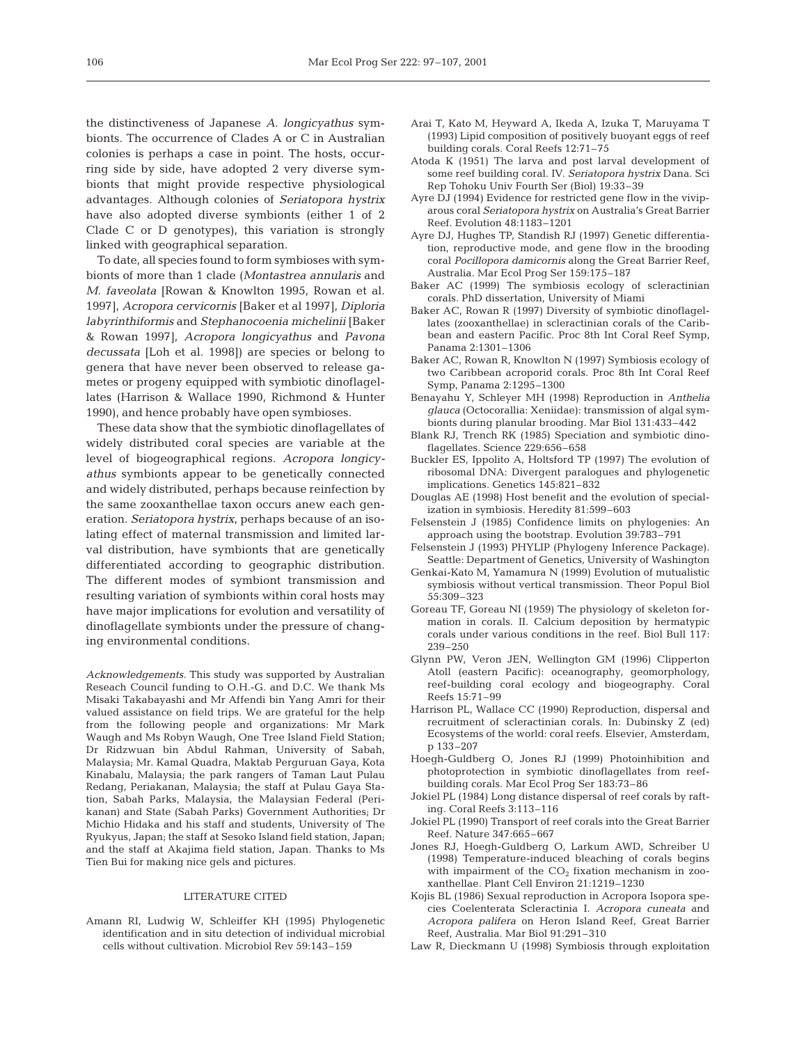the distinctiveness of Japanese *A. longicyathus* symbionts. The occurrence of Clades A or C in Australian colonies is perhaps a case in point. The hosts, occurring side by side, have adopted 2 very diverse symbionts that might provide respective physiological advantages. Although colonies of *Seriatopora hystrix* have also adopted diverse symbionts (either 1 of 2 Clade C or D genotypes), this variation is strongly linked with geographical separation.

To date, all species found to form symbioses with symbionts of more than 1 clade (*Montastrea annularis* and *M. faveolata* [Rowan & Knowlton 1995, Rowan et al. 1997], *Acropora cervicornis* [Baker et al 1997], *Diploria labyrinthiformis* and *Stephanocoenia michelinii* [Baker & Rowan 1997], *Acropora longicyathus* and *Pavona decussata* [Loh et al. 1998]) are species or belong to genera that have never been observed to release gametes or progeny equipped with symbiotic dinoflagellates (Harrison & Wallace 1990, Richmond & Hunter 1990), and hence probably have open symbioses.

These data show that the symbiotic dinoflagellates of widely distributed coral species are variable at the level of biogeographical regions. *Acropora longicyathus* symbionts appear to be genetically connected and widely distributed, perhaps because reinfection by the same zooxanthellae taxon occurs anew each generation. *Seriatopora hystrix*, perhaps because of an isolating effect of maternal transmission and limited larval distribution, have symbionts that are genetically differentiated according to geographic distribution. The different modes of symbiont transmission and resulting variation of symbionts within coral hosts may have major implications for evolution and versatility of dinoflagellate symbionts under the pressure of changing environmental conditions.

*Acknowledgements.* This study was supported by Australian Reseach Council funding to O.H.-G. and D.C. We thank Ms Misaki Takabayashi and Mr Affendi bin Yang Amri for their valued assistance on field trips. We are grateful for the help from the following people and organizations: Mr Mark Waugh and Ms Robyn Waugh, One Tree Island Field Station; Dr Ridzwuan bin Abdul Rahman, University of Sabah, Malaysia; Mr. Kamal Quadra, Maktab Perguruan Gaya, Kota Kinabalu, Malaysia; the park rangers of Taman Laut Pulau Redang, Periakanan, Malaysia; the staff at Pulau Gaya Station, Sabah Parks, Malaysia, the Malaysian Federal (Perikanan) and State (Sabah Parks) Government Authorities; Dr Michio Hidaka and his staff and students, University of The Ryukyus, Japan; the staff at Sesoko Island field station, Japan; and the staff at Akajima field station, Japan. Thanks to Ms Tien Bui for making nice gels and pictures.

#### LITERATURE CITED

Amann RI, Ludwig W, Schleiffer KH (1995) Phylogenetic identification and in situ detection of individual microbial cells without cultivation. Microbiol Rev 59:143–159

- Arai T, Kato M, Heyward A, Ikeda A, Izuka T, Maruyama T (1993) Lipid composition of positively buoyant eggs of reef building corals. Coral Reefs 12:71–75
- Atoda K (1951) The larva and post larval development of some reef building coral. IV. *Seriatopora hystrix* Dana. Sci Rep Tohoku Univ Fourth Ser (Biol) 19:33–39
- Ayre DJ (1994) Evidence for restricted gene flow in the viviparous coral *Seriatopora hystrix* on Australia's Great Barrier Reef. Evolution 48:1183–1201
- Ayre DJ, Hughes TP, Standish RJ (1997) Genetic differentiation, reproductive mode, and gene flow in the brooding coral *Pocillopora damicornis* along the Great Barrier Reef, Australia. Mar Ecol Prog Ser 159:175–187
- Baker AC (1999) The symbiosis ecology of scleractinian corals. PhD dissertation, University of Miami
- Baker AC, Rowan R (1997) Diversity of symbiotic dinoflagellates (zooxanthellae) in scleractinian corals of the Caribbean and eastern Pacific. Proc 8th Int Coral Reef Symp, Panama 2:1301–1306
- Baker AC, Rowan R, Knowlton N (1997) Symbiosis ecology of two Caribbean acroporid corals. Proc 8th Int Coral Reef Symp, Panama 2:1295–1300
- Benayahu Y, Schleyer MH (1998) Reproduction in *Anthelia glauca* (Octocorallia: Xeniidae): transmission of algal symbionts during planular brooding. Mar Biol 131:433–442
- Blank RJ, Trench RK (1985) Speciation and symbiotic dinoflagellates. Science 229:656–658
- Buckler ES, Ippolito A, Holtsford TP (1997) The evolution of ribosomal DNA: Divergent paralogues and phylogenetic implications. Genetics 145:821–832
- Douglas AE (1998) Host benefit and the evolution of specialization in symbiosis. Heredity 81:599–603
- Felsenstein J (1985) Confidence limits on phylogenies: An approach using the bootstrap. Evolution 39:783–791
- Felsenstein J (1993) PHYLIP (Phylogeny Inference Package). Seattle: Department of Genetics, University of Washington
- Genkai-Kato M, Yamamura N (1999) Evolution of mutualistic symbiosis without vertical transmission. Theor Popul Biol 55:309–323
- Goreau TF, Goreau NI (1959) The physiology of skeleton formation in corals. II. Calcium deposition by hermatypic corals under various conditions in the reef. Biol Bull 117: 239–250
- Glynn PW, Veron JEN, Wellington GM (1996) Clipperton Atoll (eastern Pacific): oceanography, geomorphology, reef-building coral ecology and biogeography. Coral Reefs 15:71–99
- Harrison PL, Wallace CC (1990) Reproduction, dispersal and recruitment of scleractinian corals. In: Dubinsky Z (ed) Ecosystems of the world: coral reefs. Elsevier, Amsterdam, p 133–207
- Hoegh-Guldberg O, Jones RJ (1999) Photoinhibition and photoprotection in symbiotic dinoflagellates from reefbuilding corals. Mar Ecol Prog Ser 183:73–86
- Jokiel PL (1984) Long distance dispersal of reef corals by rafting. Coral Reefs 3:113–116
- Jokiel PL (1990) Transport of reef corals into the Great Barrier Reef. Nature 347:665–667
- Jones RJ, Hoegh-Guldberg O, Larkum AWD, Schreiber U (1998) Temperature-induced bleaching of corals begins with impairment of the  $CO<sub>2</sub>$  fixation mechanism in zooxanthellae. Plant Cell Environ 21:1219–1230
- Kojis BL (1986) Sexual reproduction in Acropora Isopora species Coelenterata Scleractinia I. *Acropora cuneata* and *Acropora palifera* on Heron Island Reef, Great Barrier Reef, Australia. Mar Biol 91:291–310
- Law R, Dieckmann U (1998) Symbiosis through exploitation